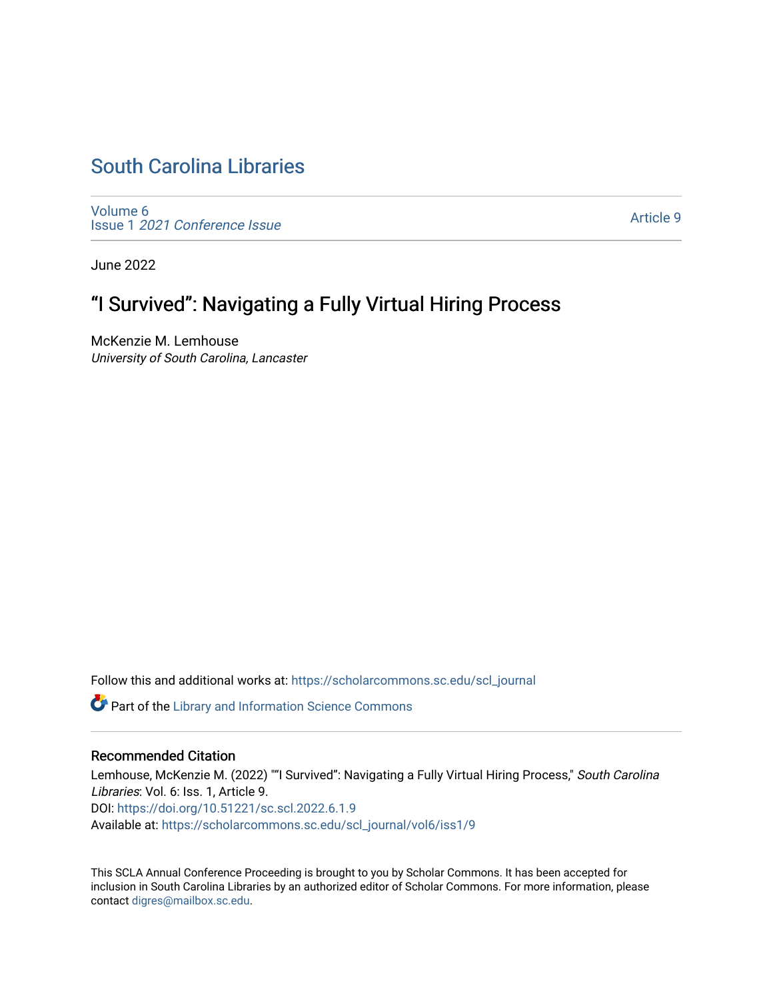## [South Carolina Libraries](https://scholarcommons.sc.edu/scl_journal)

[Volume 6](https://scholarcommons.sc.edu/scl_journal/vol6) Issue 1 [2021 Conference Issue](https://scholarcommons.sc.edu/scl_journal/vol6/iss1)

[Article 9](https://scholarcommons.sc.edu/scl_journal/vol6/iss1/9) 

June 2022

# "I Survived": Navigating a Fully Virtual Hiring Process

McKenzie M. Lemhouse University of South Carolina, Lancaster

Follow this and additional works at: [https://scholarcommons.sc.edu/scl\\_journal](https://scholarcommons.sc.edu/scl_journal?utm_source=scholarcommons.sc.edu%2Fscl_journal%2Fvol6%2Fiss1%2F9&utm_medium=PDF&utm_campaign=PDFCoverPages) 

Part of the [Library and Information Science Commons](https://network.bepress.com/hgg/discipline/1018?utm_source=scholarcommons.sc.edu%2Fscl_journal%2Fvol6%2Fiss1%2F9&utm_medium=PDF&utm_campaign=PDFCoverPages) 

## Recommended Citation

Lemhouse, McKenzie M. (2022) ""I Survived": Navigating a Fully Virtual Hiring Process," South Carolina Libraries: Vol. 6: Iss. 1, Article 9. DOI:<https://doi.org/10.51221/sc.scl.2022.6.1.9> Available at: [https://scholarcommons.sc.edu/scl\\_journal/vol6/iss1/9](https://scholarcommons.sc.edu/scl_journal/vol6/iss1/9?utm_source=scholarcommons.sc.edu%2Fscl_journal%2Fvol6%2Fiss1%2F9&utm_medium=PDF&utm_campaign=PDFCoverPages) 

This SCLA Annual Conference Proceeding is brought to you by Scholar Commons. It has been accepted for inclusion in South Carolina Libraries by an authorized editor of Scholar Commons. For more information, please contact [digres@mailbox.sc.edu.](mailto:digres@mailbox.sc.edu)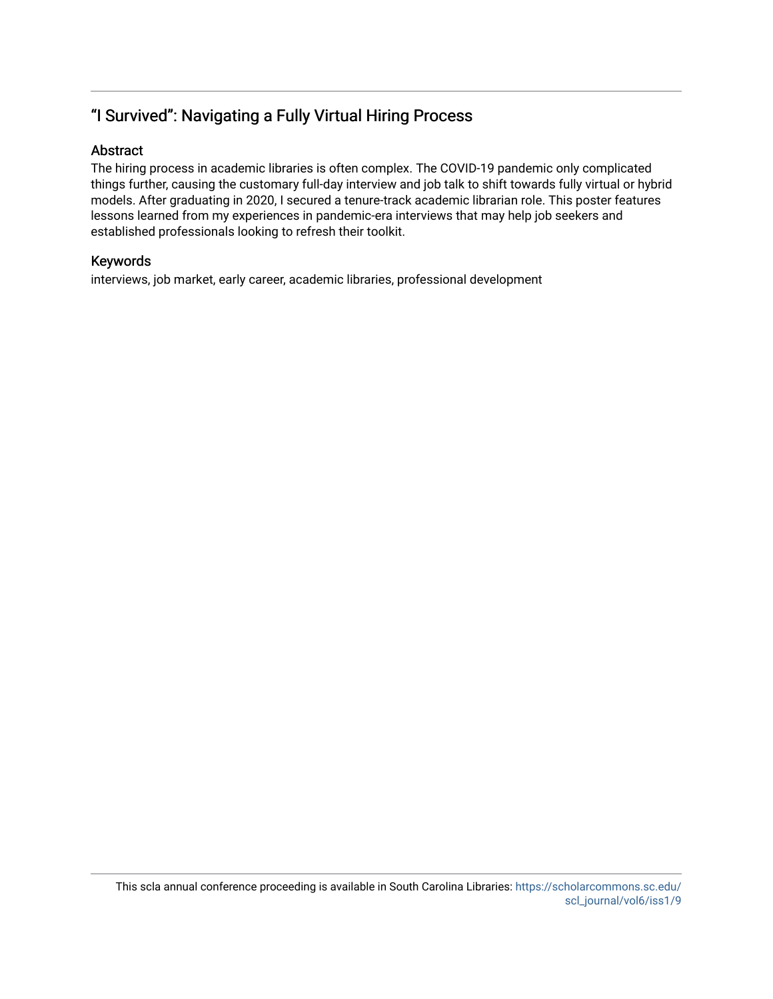## "I Survived": Navigating a Fully Virtual Hiring Process

## Abstract

The hiring process in academic libraries is often complex. The COVID-19 pandemic only complicated things further, causing the customary full-day interview and job talk to shift towards fully virtual or hybrid models. After graduating in 2020, I secured a tenure-track academic librarian role. This poster features lessons learned from my experiences in pandemic-era interviews that may help job seekers and established professionals looking to refresh their toolkit.

## Keywords

interviews, job market, early career, academic libraries, professional development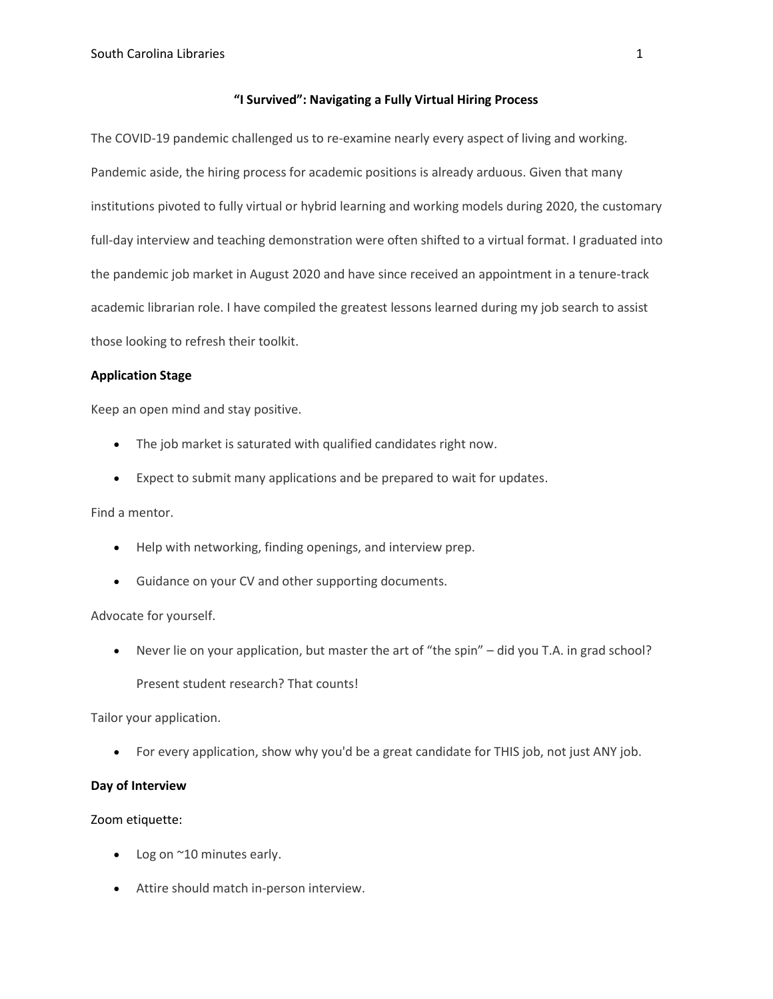#### **"I Survived": Navigating a Fully Virtual Hiring Process**

The COVID-19 pandemic challenged us to re-examine nearly every aspect of living and working. Pandemic aside, the hiring process for academic positions is already arduous. Given that many institutions pivoted to fully virtual or hybrid learning and working models during 2020, the customary full-day interview and teaching demonstration were often shifted to a virtual format. I graduated into the pandemic job market in August 2020 and have since received an appointment in a tenure-track academic librarian role. I have compiled the greatest lessons learned during my job search to assist those looking to refresh their toolkit.

#### **Application Stage**

Keep an open mind and stay positive.

- The job market is saturated with qualified candidates right now.
- Expect to submit many applications and be prepared to wait for updates.

Find a mentor.

- Help with networking, finding openings, and interview prep.
- Guidance on your CV and other supporting documents.

## Advocate for yourself.

• Never lie on your application, but master the art of "the spin" – did you T.A. in grad school? Present student research? That counts!

Tailor your application.

• For every application, show why you'd be a great candidate for THIS job, not just ANY job.

## **Day of Interview**

## Zoom etiquette:

- Log on ~10 minutes early.
- Attire should match in-person interview.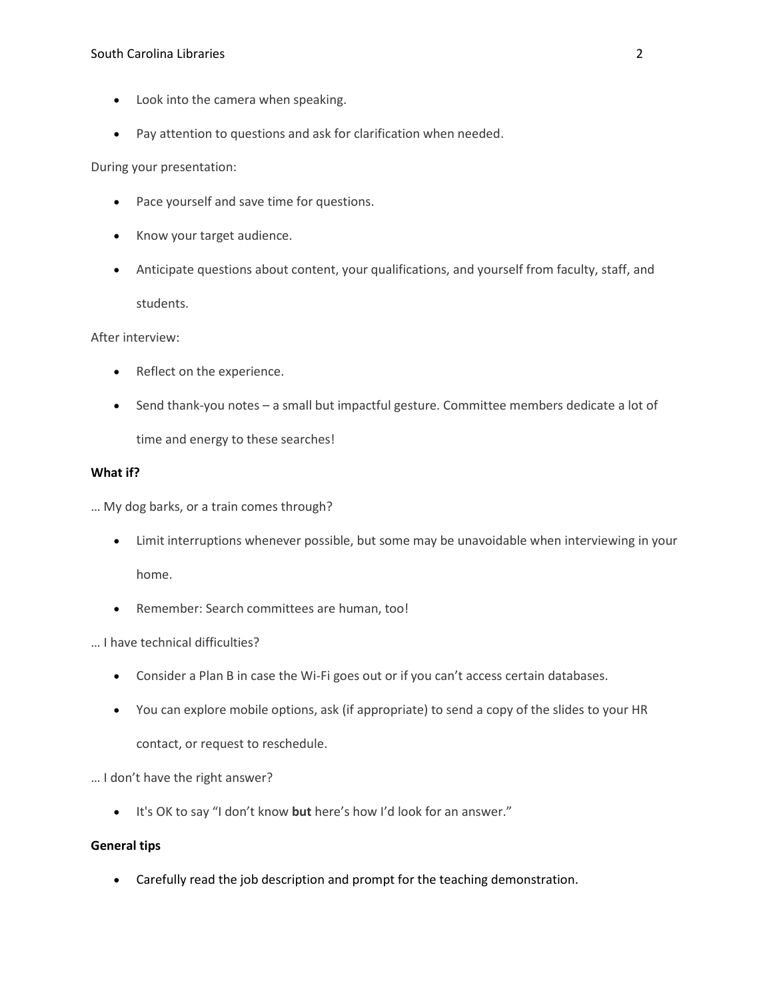- Look into the camera when speaking.
- Pay attention to questions and ask for clarification when needed.

During your presentation:

- Pace yourself and save time for questions.
- Know your target audience.
- Anticipate questions about content, your qualifications, and yourself from faculty, staff, and students.

After interview:

- Reflect on the experience.
- Send thank-you notes a small but impactful gesture. Committee members dedicate a lot of time and energy to these searches!

#### **What if?**

… My dog barks, or a train comes through?

- Limit interruptions whenever possible, but some may be unavoidable when interviewing in your home.
- Remember: Search committees are human, too!
- … I have technical difficulties?
	- Consider a Plan B in case the Wi-Fi goes out or if you can't access certain databases.
	- You can explore mobile options, ask (if appropriate) to send a copy of the slides to your HR contact, or request to reschedule.

## … I don't have the right answer?

• It's OK to say "I don't know **but** here's how I'd look for an answer."

## **General tips**

• Carefully read the job description and prompt for the teaching demonstration.